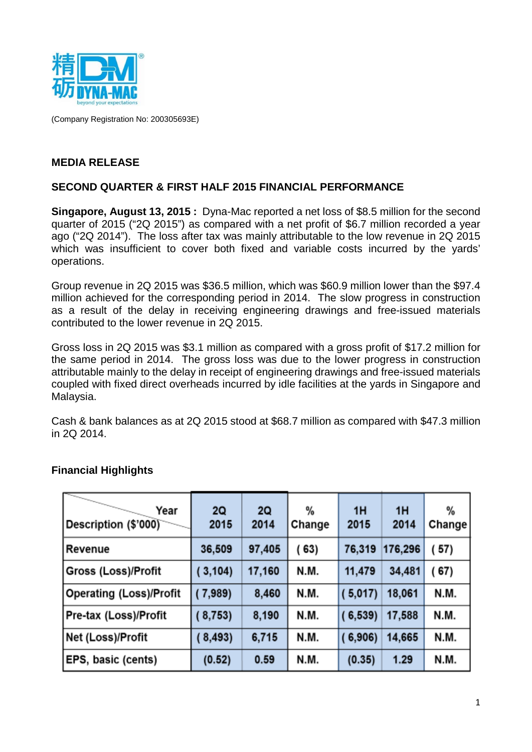

(Company Registration No: 200305693E)

### **MEDIA RELEASE**

#### **SECOND QUARTER & FIRST HALF 2015 FINANCIAL PERFORMANCE**

**Singapore, August 13, 2015 :** Dyna-Mac reported a net loss of \$8.5 million for the second quarter of 2015 ("2Q 2015") as compared with a net profit of \$6.7 million recorded a year ago ("2Q 2014"). The loss after tax was mainly attributable to the low revenue in 2Q 2015 which was insufficient to cover both fixed and variable costs incurred by the yards' operations.

Group revenue in 2Q 2015 was \$36.5 million, which was \$60.9 million lower than the \$97.4 million achieved for the corresponding period in 2014. The slow progress in construction as a result of the delay in receiving engineering drawings and free-issued materials contributed to the lower revenue in 2Q 2015.

Gross loss in 2Q 2015 was \$3.1 million as compared with a gross profit of \$17.2 million for the same period in 2014. The gross loss was due to the lower progress in construction attributable mainly to the delay in receipt of engineering drawings and free-issued materials coupled with fixed direct overheads incurred by idle facilities at the yards in Singapore and Malaysia.

Cash & bank balances as at 2Q 2015 stood at \$68.7 million as compared with \$47.3 million in 2Q 2014.

| Year<br>Description (\$'000) | <b>2Q</b><br>2015 | <b>2Q</b><br>2014 | %<br>Change | 1H<br>2015 | 1H<br>2014 | %<br>Change |
|------------------------------|-------------------|-------------------|-------------|------------|------------|-------------|
| Revenue                      | 36,509            | 97,405            | (63)        | 76,319     | 176,296    | (57)        |
| Gross (Loss)/Profit          | (3, 104)          | 17,160            | N.M.        | 11,479     | 34,481     | (67)        |
| Operating (Loss)/Profit      | (7,989)           | 8,460             | N.M.        | (5,017)    | 18,061     | N.M.        |
| Pre-tax (Loss)/Profit        | (8,753)           | 8,190             | N.M.        | (6, 539)   | 17,588     | N.M.        |
| Net (Loss)/Profit            | (8, 493)          | 6,715             | N.M.        | (6,906)    | 14,665     | N.M.        |
| <b>EPS, basic (cents)</b>    | (0.52)            | 0.59              | N.M.        | (0.35)     | 1.29       | N.M.        |

### **Financial Highlights**